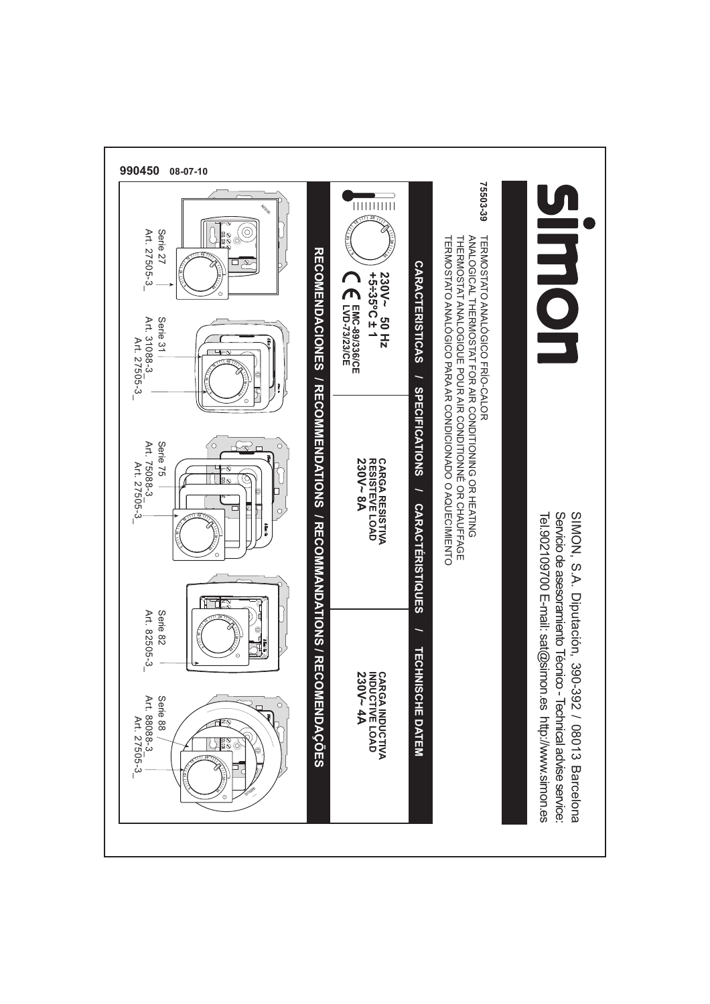